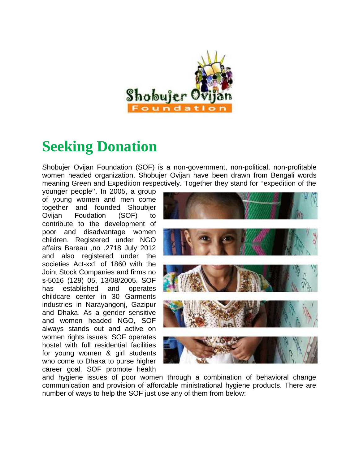

## **Seeking Donation**

Shobujer Ovijan Foundation (SOF) is a non-government, non-political, non-profitable women headed organization. Shobujer Ovijan have been drawn from Bengali words meaning Green and Expedition respectively. Together they stand for ''expedition of the

younger people''. In 2005, a group of young women and men come together and founded Shoubjer Ovijan Foudation (SOF) to contribute to the development of poor and disadvantage women children. Registered under NGO affairs Bareau ,no .2718 July 2012 and also registered under the societies Act-xx1 of 1860 with the Joint Stock Companies and firms no s-5016 (129) 05, 13/08/2005. SOF has established and operates childcare center in 30 Garments industries in Narayangonj, Gazipur and Dhaka. As a gender sensitive and women headed NGO, SOF always stands out and active on women rights issues. SOF operates hostel with full residential facilities for young women & girl students who come to Dhaka to purse higher career goal. SOF promote health



and hygiene issues of poor women through a combination of behavioral change communication and provision of affordable ministrational hygiene products. There are number of ways to help the SOF just use any of them from below: